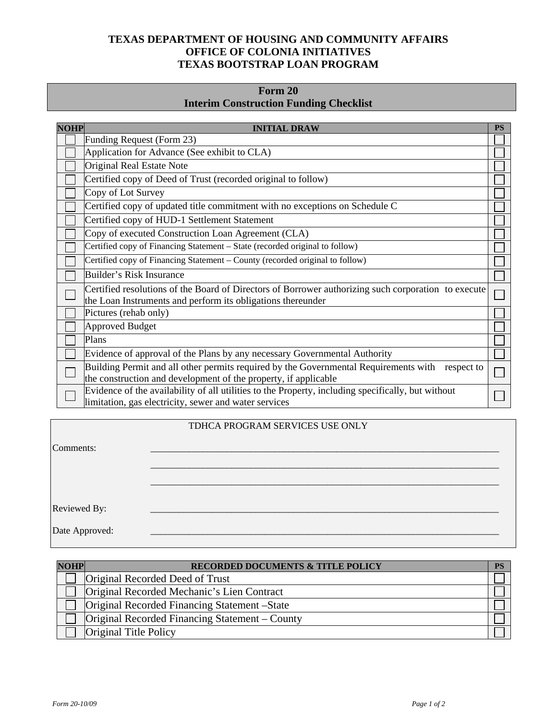## **TEXAS DEPARTMENT OF HOUSING AND COMMUNITY AFFAIRS OFFICE OF COLONIA INITIATIVES TEXAS BOOTSTRAP LOAN PROGRAM**

# **Form 20 Interim Construction Funding Checklist**

| <b>NOHP</b><br><b>INITIAL DRAW</b>                                                                                                                                 |  |
|--------------------------------------------------------------------------------------------------------------------------------------------------------------------|--|
| Funding Request (Form 23)                                                                                                                                          |  |
| Application for Advance (See exhibit to CLA)                                                                                                                       |  |
| Original Real Estate Note                                                                                                                                          |  |
| Certified copy of Deed of Trust (recorded original to follow)                                                                                                      |  |
| Copy of Lot Survey                                                                                                                                                 |  |
| Certified copy of updated title commitment with no exceptions on Schedule C                                                                                        |  |
| Certified copy of HUD-1 Settlement Statement                                                                                                                       |  |
| Copy of executed Construction Loan Agreement (CLA)                                                                                                                 |  |
| Certified copy of Financing Statement - State (recorded original to follow)                                                                                        |  |
| Certified copy of Financing Statement – County (recorded original to follow)                                                                                       |  |
| Builder's Risk Insurance                                                                                                                                           |  |
| Certified resolutions of the Board of Directors of Borrower authorizing such corporation to execute<br>the Loan Instruments and perform its obligations thereunder |  |
| Pictures (rehab only)                                                                                                                                              |  |
| Approved Budget                                                                                                                                                    |  |
| Plans                                                                                                                                                              |  |
| Evidence of approval of the Plans by any necessary Governmental Authority                                                                                          |  |
| Building Permit and all other permits required by the Governmental Requirements with respect to<br>the construction and development of the property, if applicable |  |
| Evidence of the availability of all utilities to the Property, including specifically, but without<br>limitation, gas electricity, sewer and water services        |  |

### TDHCA PROGRAM SERVICES USE ONLY

| Comments:      |  |
|----------------|--|
|                |  |
|                |  |
|                |  |
| Reviewed By:   |  |
| Date Approved: |  |

| <b>NOHP</b> | RECORDED DOCUMENTS & TITLE POLICY              | <b>PS</b> |
|-------------|------------------------------------------------|-----------|
|             | Original Recorded Deed of Trust                |           |
|             | Original Recorded Mechanic's Lien Contract     |           |
|             | Original Recorded Financing Statement – State  |           |
|             | Original Recorded Financing Statement – County |           |
|             | <b>Original Title Policy</b>                   |           |